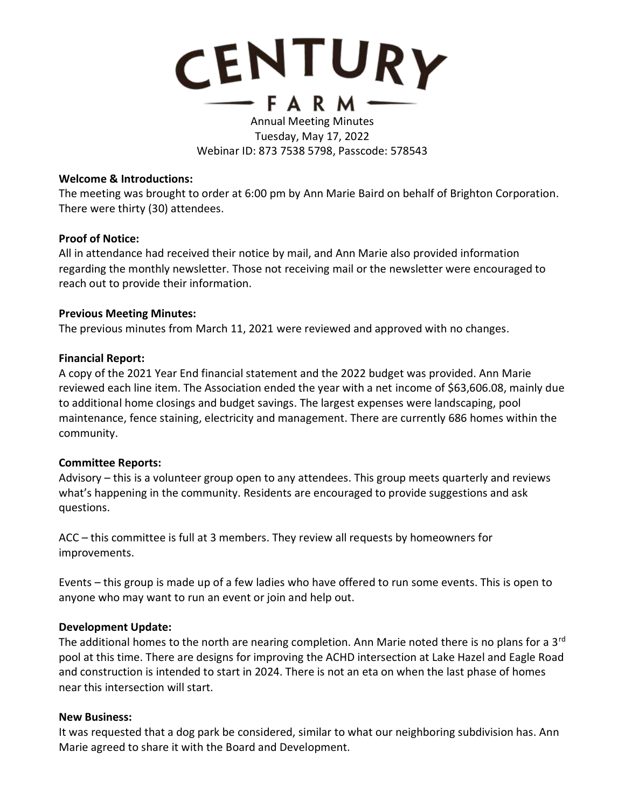

## Annual Meeting Minutes Tuesday, May 17, 2022 Webinar ID: 873 7538 5798, Passcode: 578543

### **Welcome & Introductions:**

The meeting was brought to order at 6:00 pm by Ann Marie Baird on behalf of Brighton Corporation. There were thirty (30) attendees.

### **Proof of Notice:**

All in attendance had received their notice by mail, and Ann Marie also provided information regarding the monthly newsletter. Those not receiving mail or the newsletter were encouraged to reach out to provide their information.

### **Previous Meeting Minutes:**

The previous minutes from March 11, 2021 were reviewed and approved with no changes.

### **Financial Report:**

A copy of the 2021 Year End financial statement and the 2022 budget was provided. Ann Marie reviewed each line item. The Association ended the year with a net income of \$63,606.08, mainly due to additional home closings and budget savings. The largest expenses were landscaping, pool maintenance, fence staining, electricity and management. There are currently 686 homes within the community.

### **Committee Reports:**

Advisory – this is a volunteer group open to any attendees. This group meets quarterly and reviews what's happening in the community. Residents are encouraged to provide suggestions and ask questions.

ACC – this committee is full at 3 members. They review all requests by homeowners for improvements.

Events – this group is made up of a few ladies who have offered to run some events. This is open to anyone who may want to run an event or join and help out.

### **Development Update:**

The additional homes to the north are nearing completion. Ann Marie noted there is no plans for a 3<sup>rd</sup> pool at this time. There are designs for improving the ACHD intersection at Lake Hazel and Eagle Road and construction is intended to start in 2024. There is not an eta on when the last phase of homes near this intersection will start.

#### **New Business:**

It was requested that a dog park be considered, similar to what our neighboring subdivision has. Ann Marie agreed to share it with the Board and Development.